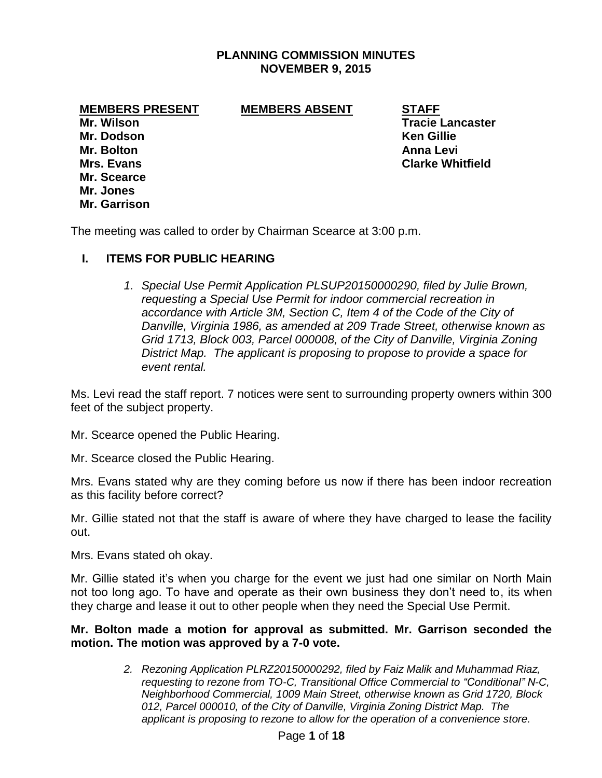## **PLANNING COMMISSION MINUTES NOVEMBER 9, 2015**

#### **MEMBERS PRESENT MEMBERS ABSENT STAFF**

**Mr. Dodson Ken Gillie Mr. Bolton Anna Levi Mr. Scearce Mr. Jones Mr. Garrison**

**Mr. Wilson Tracie Lancaster Mrs. Evans Clarke Whitfield**

The meeting was called to order by Chairman Scearce at 3:00 p.m.

## **I. ITEMS FOR PUBLIC HEARING**

*1. Special Use Permit Application PLSUP20150000290, filed by Julie Brown, requesting a Special Use Permit for indoor commercial recreation in accordance with Article 3M, Section C, Item 4 of the Code of the City of Danville, Virginia 1986, as amended at 209 Trade Street, otherwise known as Grid 1713, Block 003, Parcel 000008, of the City of Danville, Virginia Zoning District Map. The applicant is proposing to propose to provide a space for event rental.* 

Ms. Levi read the staff report. 7 notices were sent to surrounding property owners within 300 feet of the subject property.

Mr. Scearce opened the Public Hearing.

Mr. Scearce closed the Public Hearing.

Mrs. Evans stated why are they coming before us now if there has been indoor recreation as this facility before correct?

Mr. Gillie stated not that the staff is aware of where they have charged to lease the facility out.

Mrs. Evans stated oh okay.

Mr. Gillie stated it's when you charge for the event we just had one similar on North Main not too long ago. To have and operate as their own business they don't need to, its when they charge and lease it out to other people when they need the Special Use Permit.

**Mr. Bolton made a motion for approval as submitted. Mr. Garrison seconded the motion. The motion was approved by a 7-0 vote.**

> *2. Rezoning Application PLRZ20150000292, filed by Faiz Malik and Muhammad Riaz, requesting to rezone from TO-C, Transitional Office Commercial to "Conditional" N-C, Neighborhood Commercial, 1009 Main Street, otherwise known as Grid 1720, Block 012, Parcel 000010, of the City of Danville, Virginia Zoning District Map. The applicant is proposing to rezone to allow for the operation of a convenience store.*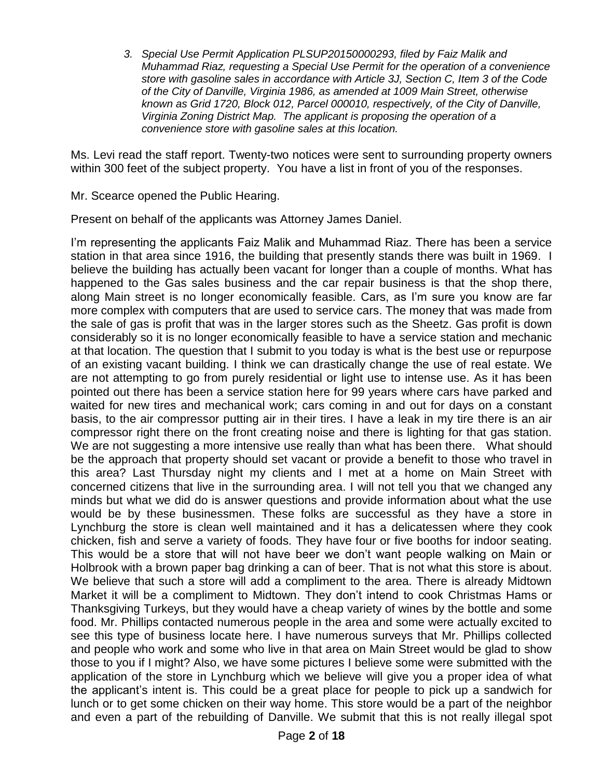*3. Special Use Permit Application PLSUP20150000293, filed by Faiz Malik and Muhammad Riaz, requesting a Special Use Permit for the operation of a convenience store with gasoline sales in accordance with Article 3J, Section C, Item 3 of the Code of the City of Danville, Virginia 1986, as amended at 1009 Main Street, otherwise known as Grid 1720, Block 012, Parcel 000010, respectively, of the City of Danville, Virginia Zoning District Map. The applicant is proposing the operation of a convenience store with gasoline sales at this location.*

Ms. Levi read the staff report. Twenty-two notices were sent to surrounding property owners within 300 feet of the subject property. You have a list in front of you of the responses.

Mr. Scearce opened the Public Hearing.

Present on behalf of the applicants was Attorney James Daniel.

I'm representing the applicants Faiz Malik and Muhammad Riaz. There has been a service station in that area since 1916, the building that presently stands there was built in 1969. I believe the building has actually been vacant for longer than a couple of months. What has happened to the Gas sales business and the car repair business is that the shop there, along Main street is no longer economically feasible. Cars, as I'm sure you know are far more complex with computers that are used to service cars. The money that was made from the sale of gas is profit that was in the larger stores such as the Sheetz. Gas profit is down considerably so it is no longer economically feasible to have a service station and mechanic at that location. The question that I submit to you today is what is the best use or repurpose of an existing vacant building. I think we can drastically change the use of real estate. We are not attempting to go from purely residential or light use to intense use. As it has been pointed out there has been a service station here for 99 years where cars have parked and waited for new tires and mechanical work; cars coming in and out for days on a constant basis, to the air compressor putting air in their tires. I have a leak in my tire there is an air compressor right there on the front creating noise and there is lighting for that gas station. We are not suggesting a more intensive use really than what has been there. What should be the approach that property should set vacant or provide a benefit to those who travel in this area? Last Thursday night my clients and I met at a home on Main Street with concerned citizens that live in the surrounding area. I will not tell you that we changed any minds but what we did do is answer questions and provide information about what the use would be by these businessmen. These folks are successful as they have a store in Lynchburg the store is clean well maintained and it has a delicatessen where they cook chicken, fish and serve a variety of foods. They have four or five booths for indoor seating. This would be a store that will not have beer we don't want people walking on Main or Holbrook with a brown paper bag drinking a can of beer. That is not what this store is about. We believe that such a store will add a compliment to the area. There is already Midtown Market it will be a compliment to Midtown. They don't intend to cook Christmas Hams or Thanksgiving Turkeys, but they would have a cheap variety of wines by the bottle and some food. Mr. Phillips contacted numerous people in the area and some were actually excited to see this type of business locate here. I have numerous surveys that Mr. Phillips collected and people who work and some who live in that area on Main Street would be glad to show those to you if I might? Also, we have some pictures I believe some were submitted with the application of the store in Lynchburg which we believe will give you a proper idea of what the applicant's intent is. This could be a great place for people to pick up a sandwich for lunch or to get some chicken on their way home. This store would be a part of the neighbor and even a part of the rebuilding of Danville. We submit that this is not really illegal spot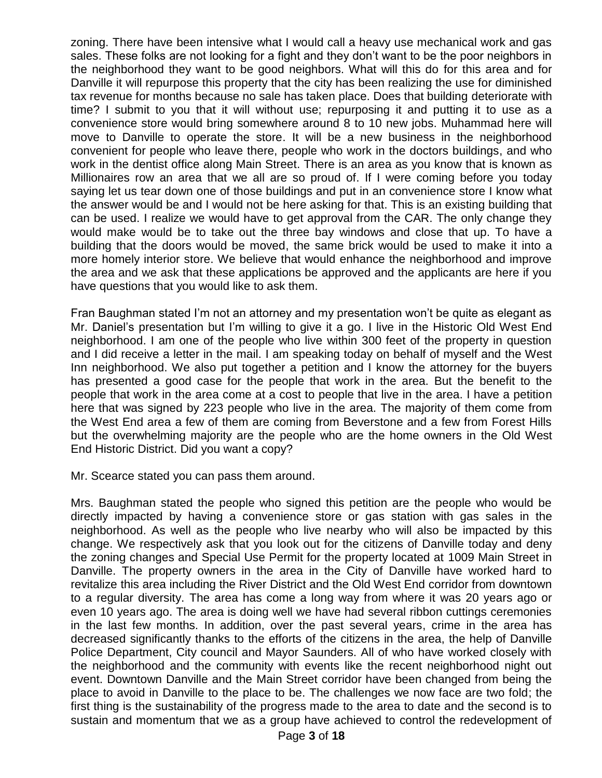zoning. There have been intensive what I would call a heavy use mechanical work and gas sales. These folks are not looking for a fight and they don't want to be the poor neighbors in the neighborhood they want to be good neighbors. What will this do for this area and for Danville it will repurpose this property that the city has been realizing the use for diminished tax revenue for months because no sale has taken place. Does that building deteriorate with time? I submit to you that it will without use; repurposing it and putting it to use as a convenience store would bring somewhere around 8 to 10 new jobs. Muhammad here will move to Danville to operate the store. It will be a new business in the neighborhood convenient for people who leave there, people who work in the doctors buildings, and who work in the dentist office along Main Street. There is an area as you know that is known as Millionaires row an area that we all are so proud of. If I were coming before you today saying let us tear down one of those buildings and put in an convenience store I know what the answer would be and I would not be here asking for that. This is an existing building that can be used. I realize we would have to get approval from the CAR. The only change they would make would be to take out the three bay windows and close that up. To have a building that the doors would be moved, the same brick would be used to make it into a more homely interior store. We believe that would enhance the neighborhood and improve the area and we ask that these applications be approved and the applicants are here if you have questions that you would like to ask them.

Fran Baughman stated I'm not an attorney and my presentation won't be quite as elegant as Mr. Daniel's presentation but I'm willing to give it a go. I live in the Historic Old West End neighborhood. I am one of the people who live within 300 feet of the property in question and I did receive a letter in the mail. I am speaking today on behalf of myself and the West Inn neighborhood. We also put together a petition and I know the attorney for the buyers has presented a good case for the people that work in the area. But the benefit to the people that work in the area come at a cost to people that live in the area. I have a petition here that was signed by 223 people who live in the area. The majority of them come from the West End area a few of them are coming from Beverstone and a few from Forest Hills but the overwhelming majority are the people who are the home owners in the Old West End Historic District. Did you want a copy?

Mr. Scearce stated you can pass them around.

Mrs. Baughman stated the people who signed this petition are the people who would be directly impacted by having a convenience store or gas station with gas sales in the neighborhood. As well as the people who live nearby who will also be impacted by this change. We respectively ask that you look out for the citizens of Danville today and deny the zoning changes and Special Use Permit for the property located at 1009 Main Street in Danville. The property owners in the area in the City of Danville have worked hard to revitalize this area including the River District and the Old West End corridor from downtown to a regular diversity. The area has come a long way from where it was 20 years ago or even 10 years ago. The area is doing well we have had several ribbon cuttings ceremonies in the last few months. In addition, over the past several years, crime in the area has decreased significantly thanks to the efforts of the citizens in the area, the help of Danville Police Department, City council and Mayor Saunders. All of who have worked closely with the neighborhood and the community with events like the recent neighborhood night out event. Downtown Danville and the Main Street corridor have been changed from being the place to avoid in Danville to the place to be. The challenges we now face are two fold; the first thing is the sustainability of the progress made to the area to date and the second is to sustain and momentum that we as a group have achieved to control the redevelopment of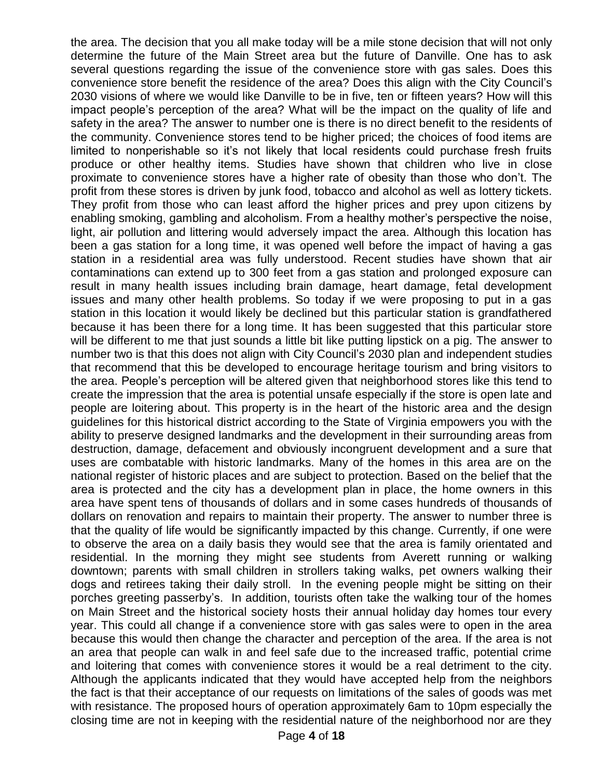the area. The decision that you all make today will be a mile stone decision that will not only determine the future of the Main Street area but the future of Danville. One has to ask several questions regarding the issue of the convenience store with gas sales. Does this convenience store benefit the residence of the area? Does this align with the City Council's 2030 visions of where we would like Danville to be in five, ten or fifteen years? How will this impact people's perception of the area? What will be the impact on the quality of life and safety in the area? The answer to number one is there is no direct benefit to the residents of the community. Convenience stores tend to be higher priced; the choices of food items are limited to nonperishable so it's not likely that local residents could purchase fresh fruits produce or other healthy items. Studies have shown that children who live in close proximate to convenience stores have a higher rate of obesity than those who don't. The profit from these stores is driven by junk food, tobacco and alcohol as well as lottery tickets. They profit from those who can least afford the higher prices and prey upon citizens by enabling smoking, gambling and alcoholism. From a healthy mother's perspective the noise, light, air pollution and littering would adversely impact the area. Although this location has been a gas station for a long time, it was opened well before the impact of having a gas station in a residential area was fully understood. Recent studies have shown that air contaminations can extend up to 300 feet from a gas station and prolonged exposure can result in many health issues including brain damage, heart damage, fetal development issues and many other health problems. So today if we were proposing to put in a gas station in this location it would likely be declined but this particular station is grandfathered because it has been there for a long time. It has been suggested that this particular store will be different to me that just sounds a little bit like putting lipstick on a pig. The answer to number two is that this does not align with City Council's 2030 plan and independent studies that recommend that this be developed to encourage heritage tourism and bring visitors to the area. People's perception will be altered given that neighborhood stores like this tend to create the impression that the area is potential unsafe especially if the store is open late and people are loitering about. This property is in the heart of the historic area and the design guidelines for this historical district according to the State of Virginia empowers you with the ability to preserve designed landmarks and the development in their surrounding areas from destruction, damage, defacement and obviously incongruent development and a sure that uses are combatable with historic landmarks. Many of the homes in this area are on the national register of historic places and are subject to protection. Based on the belief that the area is protected and the city has a development plan in place, the home owners in this area have spent tens of thousands of dollars and in some cases hundreds of thousands of dollars on renovation and repairs to maintain their property. The answer to number three is that the quality of life would be significantly impacted by this change. Currently, if one were to observe the area on a daily basis they would see that the area is family orientated and residential. In the morning they might see students from Averett running or walking downtown; parents with small children in strollers taking walks, pet owners walking their dogs and retirees taking their daily stroll. In the evening people might be sitting on their porches greeting passerby's. In addition, tourists often take the walking tour of the homes on Main Street and the historical society hosts their annual holiday day homes tour every year. This could all change if a convenience store with gas sales were to open in the area because this would then change the character and perception of the area. If the area is not an area that people can walk in and feel safe due to the increased traffic, potential crime and loitering that comes with convenience stores it would be a real detriment to the city. Although the applicants indicated that they would have accepted help from the neighbors the fact is that their acceptance of our requests on limitations of the sales of goods was met with resistance. The proposed hours of operation approximately 6am to 10pm especially the closing time are not in keeping with the residential nature of the neighborhood nor are they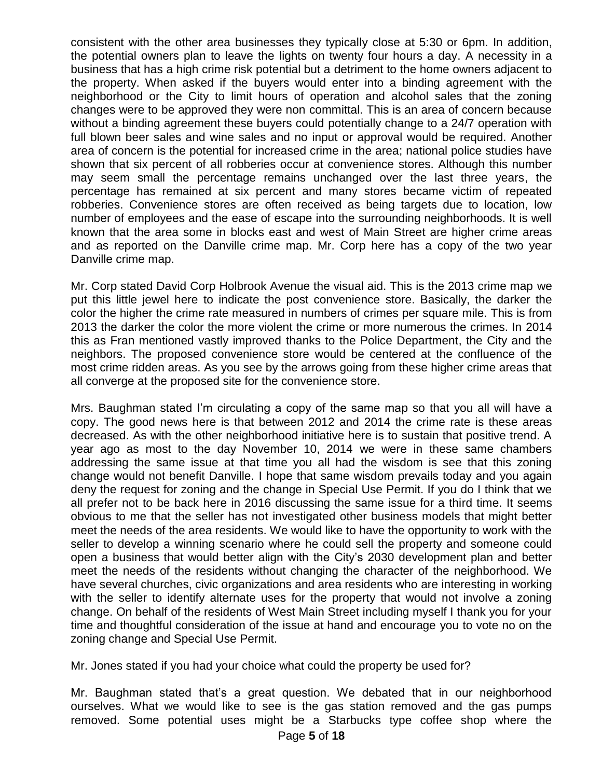consistent with the other area businesses they typically close at 5:30 or 6pm. In addition, the potential owners plan to leave the lights on twenty four hours a day. A necessity in a business that has a high crime risk potential but a detriment to the home owners adjacent to the property. When asked if the buyers would enter into a binding agreement with the neighborhood or the City to limit hours of operation and alcohol sales that the zoning changes were to be approved they were non committal. This is an area of concern because without a binding agreement these buyers could potentially change to a 24/7 operation with full blown beer sales and wine sales and no input or approval would be required. Another area of concern is the potential for increased crime in the area; national police studies have shown that six percent of all robberies occur at convenience stores. Although this number may seem small the percentage remains unchanged over the last three years, the percentage has remained at six percent and many stores became victim of repeated robberies. Convenience stores are often received as being targets due to location, low number of employees and the ease of escape into the surrounding neighborhoods. It is well known that the area some in blocks east and west of Main Street are higher crime areas and as reported on the Danville crime map. Mr. Corp here has a copy of the two year Danville crime map.

Mr. Corp stated David Corp Holbrook Avenue the visual aid. This is the 2013 crime map we put this little jewel here to indicate the post convenience store. Basically, the darker the color the higher the crime rate measured in numbers of crimes per square mile. This is from 2013 the darker the color the more violent the crime or more numerous the crimes. In 2014 this as Fran mentioned vastly improved thanks to the Police Department, the City and the neighbors. The proposed convenience store would be centered at the confluence of the most crime ridden areas. As you see by the arrows going from these higher crime areas that all converge at the proposed site for the convenience store.

Mrs. Baughman stated I'm circulating a copy of the same map so that you all will have a copy. The good news here is that between 2012 and 2014 the crime rate is these areas decreased. As with the other neighborhood initiative here is to sustain that positive trend. A year ago as most to the day November 10, 2014 we were in these same chambers addressing the same issue at that time you all had the wisdom is see that this zoning change would not benefit Danville. I hope that same wisdom prevails today and you again deny the request for zoning and the change in Special Use Permit. If you do I think that we all prefer not to be back here in 2016 discussing the same issue for a third time. It seems obvious to me that the seller has not investigated other business models that might better meet the needs of the area residents. We would like to have the opportunity to work with the seller to develop a winning scenario where he could sell the property and someone could open a business that would better align with the City's 2030 development plan and better meet the needs of the residents without changing the character of the neighborhood. We have several churches, civic organizations and area residents who are interesting in working with the seller to identify alternate uses for the property that would not involve a zoning change. On behalf of the residents of West Main Street including myself I thank you for your time and thoughtful consideration of the issue at hand and encourage you to vote no on the zoning change and Special Use Permit.

Mr. Jones stated if you had your choice what could the property be used for?

Mr. Baughman stated that's a great question. We debated that in our neighborhood ourselves. What we would like to see is the gas station removed and the gas pumps removed. Some potential uses might be a Starbucks type coffee shop where the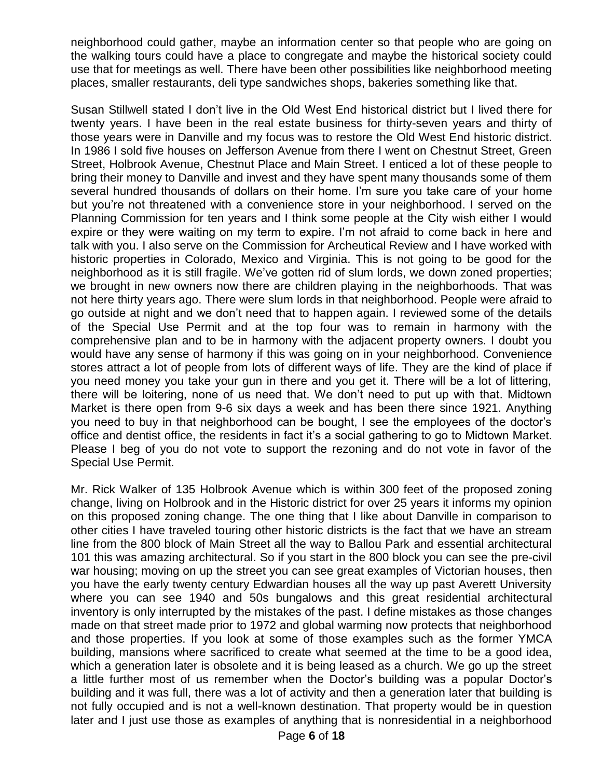neighborhood could gather, maybe an information center so that people who are going on the walking tours could have a place to congregate and maybe the historical society could use that for meetings as well. There have been other possibilities like neighborhood meeting places, smaller restaurants, deli type sandwiches shops, bakeries something like that.

Susan Stillwell stated I don't live in the Old West End historical district but I lived there for twenty years. I have been in the real estate business for thirty-seven years and thirty of those years were in Danville and my focus was to restore the Old West End historic district. In 1986 I sold five houses on Jefferson Avenue from there I went on Chestnut Street, Green Street, Holbrook Avenue, Chestnut Place and Main Street. I enticed a lot of these people to bring their money to Danville and invest and they have spent many thousands some of them several hundred thousands of dollars on their home. I'm sure you take care of your home but you're not threatened with a convenience store in your neighborhood. I served on the Planning Commission for ten years and I think some people at the City wish either I would expire or they were waiting on my term to expire. I'm not afraid to come back in here and talk with you. I also serve on the Commission for Archeutical Review and I have worked with historic properties in Colorado, Mexico and Virginia. This is not going to be good for the neighborhood as it is still fragile. We've gotten rid of slum lords, we down zoned properties; we brought in new owners now there are children playing in the neighborhoods. That was not here thirty years ago. There were slum lords in that neighborhood. People were afraid to go outside at night and we don't need that to happen again. I reviewed some of the details of the Special Use Permit and at the top four was to remain in harmony with the comprehensive plan and to be in harmony with the adjacent property owners. I doubt you would have any sense of harmony if this was going on in your neighborhood. Convenience stores attract a lot of people from lots of different ways of life. They are the kind of place if you need money you take your gun in there and you get it. There will be a lot of littering, there will be loitering, none of us need that. We don't need to put up with that. Midtown Market is there open from 9-6 six days a week and has been there since 1921. Anything you need to buy in that neighborhood can be bought, I see the employees of the doctor's office and dentist office, the residents in fact it's a social gathering to go to Midtown Market. Please I beg of you do not vote to support the rezoning and do not vote in favor of the Special Use Permit.

Mr. Rick Walker of 135 Holbrook Avenue which is within 300 feet of the proposed zoning change, living on Holbrook and in the Historic district for over 25 years it informs my opinion on this proposed zoning change. The one thing that I like about Danville in comparison to other cities I have traveled touring other historic districts is the fact that we have an stream line from the 800 block of Main Street all the way to Ballou Park and essential architectural 101 this was amazing architectural. So if you start in the 800 block you can see the pre-civil war housing; moving on up the street you can see great examples of Victorian houses, then you have the early twenty century Edwardian houses all the way up past Averett University where you can see 1940 and 50s bungalows and this great residential architectural inventory is only interrupted by the mistakes of the past. I define mistakes as those changes made on that street made prior to 1972 and global warming now protects that neighborhood and those properties. If you look at some of those examples such as the former YMCA building, mansions where sacrificed to create what seemed at the time to be a good idea, which a generation later is obsolete and it is being leased as a church. We go up the street a little further most of us remember when the Doctor's building was a popular Doctor's building and it was full, there was a lot of activity and then a generation later that building is not fully occupied and is not a well-known destination. That property would be in question later and I just use those as examples of anything that is nonresidential in a neighborhood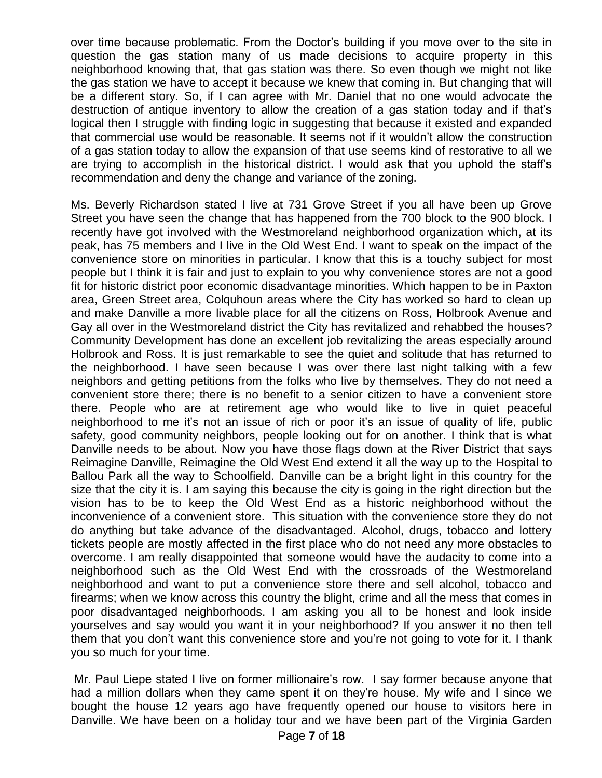over time because problematic. From the Doctor's building if you move over to the site in question the gas station many of us made decisions to acquire property in this neighborhood knowing that, that gas station was there. So even though we might not like the gas station we have to accept it because we knew that coming in. But changing that will be a different story. So, if I can agree with Mr. Daniel that no one would advocate the destruction of antique inventory to allow the creation of a gas station today and if that's logical then I struggle with finding logic in suggesting that because it existed and expanded that commercial use would be reasonable. It seems not if it wouldn't allow the construction of a gas station today to allow the expansion of that use seems kind of restorative to all we are trying to accomplish in the historical district. I would ask that you uphold the staff's recommendation and deny the change and variance of the zoning.

Ms. Beverly Richardson stated I live at 731 Grove Street if you all have been up Grove Street you have seen the change that has happened from the 700 block to the 900 block. I recently have got involved with the Westmoreland neighborhood organization which, at its peak, has 75 members and I live in the Old West End. I want to speak on the impact of the convenience store on minorities in particular. I know that this is a touchy subject for most people but I think it is fair and just to explain to you why convenience stores are not a good fit for historic district poor economic disadvantage minorities. Which happen to be in Paxton area, Green Street area, Colquhoun areas where the City has worked so hard to clean up and make Danville a more livable place for all the citizens on Ross, Holbrook Avenue and Gay all over in the Westmoreland district the City has revitalized and rehabbed the houses? Community Development has done an excellent job revitalizing the areas especially around Holbrook and Ross. It is just remarkable to see the quiet and solitude that has returned to the neighborhood. I have seen because I was over there last night talking with a few neighbors and getting petitions from the folks who live by themselves. They do not need a convenient store there; there is no benefit to a senior citizen to have a convenient store there. People who are at retirement age who would like to live in quiet peaceful neighborhood to me it's not an issue of rich or poor it's an issue of quality of life, public safety, good community neighbors, people looking out for on another. I think that is what Danville needs to be about. Now you have those flags down at the River District that says Reimagine Danville, Reimagine the Old West End extend it all the way up to the Hospital to Ballou Park all the way to Schoolfield. Danville can be a bright light in this country for the size that the city it is. I am saying this because the city is going in the right direction but the vision has to be to keep the Old West End as a historic neighborhood without the inconvenience of a convenient store. This situation with the convenience store they do not do anything but take advance of the disadvantaged. Alcohol, drugs, tobacco and lottery tickets people are mostly affected in the first place who do not need any more obstacles to overcome. I am really disappointed that someone would have the audacity to come into a neighborhood such as the Old West End with the crossroads of the Westmoreland neighborhood and want to put a convenience store there and sell alcohol, tobacco and firearms; when we know across this country the blight, crime and all the mess that comes in poor disadvantaged neighborhoods. I am asking you all to be honest and look inside yourselves and say would you want it in your neighborhood? If you answer it no then tell them that you don't want this convenience store and you're not going to vote for it. I thank you so much for your time.

Mr. Paul Liepe stated I live on former millionaire's row. I say former because anyone that had a million dollars when they came spent it on they're house. My wife and I since we bought the house 12 years ago have frequently opened our house to visitors here in Danville. We have been on a holiday tour and we have been part of the Virginia Garden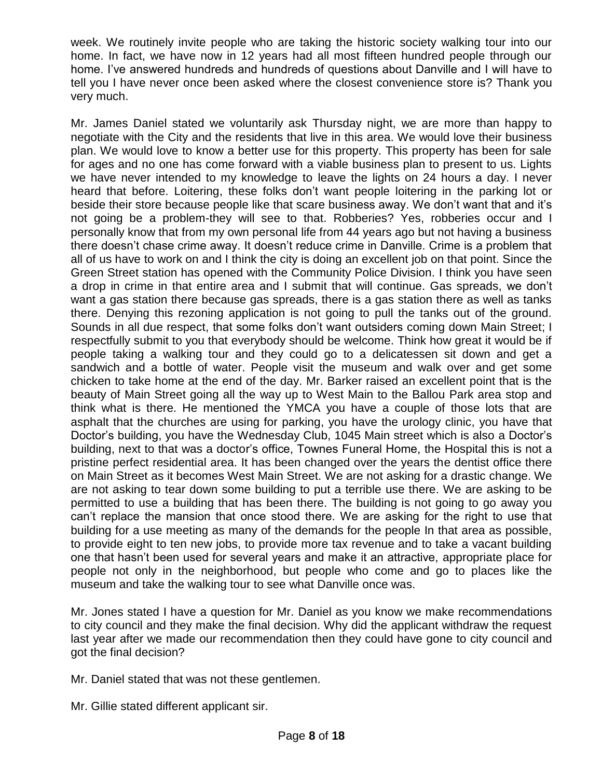week. We routinely invite people who are taking the historic society walking tour into our home. In fact, we have now in 12 years had all most fifteen hundred people through our home. I've answered hundreds and hundreds of questions about Danville and I will have to tell you I have never once been asked where the closest convenience store is? Thank you very much.

Mr. James Daniel stated we voluntarily ask Thursday night, we are more than happy to negotiate with the City and the residents that live in this area. We would love their business plan. We would love to know a better use for this property. This property has been for sale for ages and no one has come forward with a viable business plan to present to us. Lights we have never intended to my knowledge to leave the lights on 24 hours a day. I never heard that before. Loitering, these folks don't want people loitering in the parking lot or beside their store because people like that scare business away. We don't want that and it's not going be a problem-they will see to that. Robberies? Yes, robberies occur and I personally know that from my own personal life from 44 years ago but not having a business there doesn't chase crime away. It doesn't reduce crime in Danville. Crime is a problem that all of us have to work on and I think the city is doing an excellent job on that point. Since the Green Street station has opened with the Community Police Division. I think you have seen a drop in crime in that entire area and I submit that will continue. Gas spreads, we don't want a gas station there because gas spreads, there is a gas station there as well as tanks there. Denying this rezoning application is not going to pull the tanks out of the ground. Sounds in all due respect, that some folks don't want outsiders coming down Main Street; I respectfully submit to you that everybody should be welcome. Think how great it would be if people taking a walking tour and they could go to a delicatessen sit down and get a sandwich and a bottle of water. People visit the museum and walk over and get some chicken to take home at the end of the day. Mr. Barker raised an excellent point that is the beauty of Main Street going all the way up to West Main to the Ballou Park area stop and think what is there. He mentioned the YMCA you have a couple of those lots that are asphalt that the churches are using for parking, you have the urology clinic, you have that Doctor's building, you have the Wednesday Club, 1045 Main street which is also a Doctor's building, next to that was a doctor's office, Townes Funeral Home, the Hospital this is not a pristine perfect residential area. It has been changed over the years the dentist office there on Main Street as it becomes West Main Street. We are not asking for a drastic change. We are not asking to tear down some building to put a terrible use there. We are asking to be permitted to use a building that has been there. The building is not going to go away you can't replace the mansion that once stood there. We are asking for the right to use that building for a use meeting as many of the demands for the people In that area as possible, to provide eight to ten new jobs, to provide more tax revenue and to take a vacant building one that hasn't been used for several years and make it an attractive, appropriate place for people not only in the neighborhood, but people who come and go to places like the museum and take the walking tour to see what Danville once was.

Mr. Jones stated I have a question for Mr. Daniel as you know we make recommendations to city council and they make the final decision. Why did the applicant withdraw the request last year after we made our recommendation then they could have gone to city council and got the final decision?

- Mr. Daniel stated that was not these gentlemen.
- Mr. Gillie stated different applicant sir.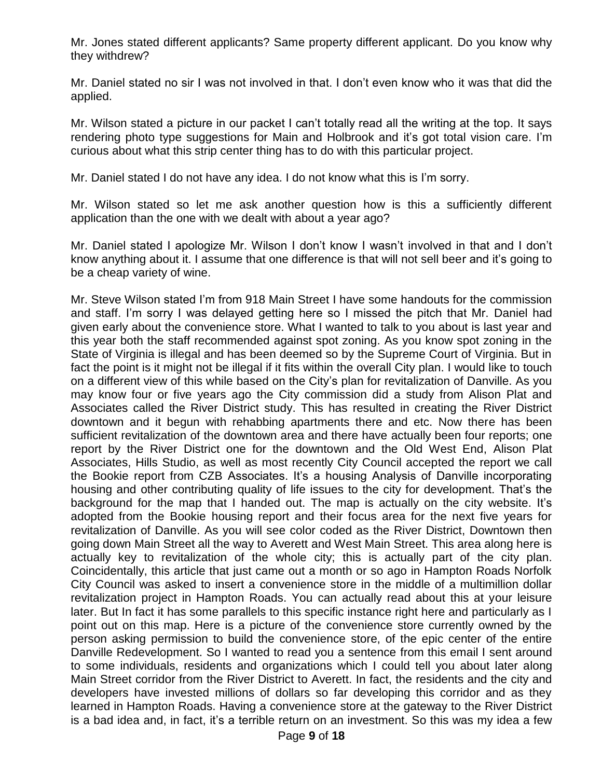Mr. Jones stated different applicants? Same property different applicant. Do you know why they withdrew?

Mr. Daniel stated no sir I was not involved in that. I don't even know who it was that did the applied.

Mr. Wilson stated a picture in our packet I can't totally read all the writing at the top. It says rendering photo type suggestions for Main and Holbrook and it's got total vision care. I'm curious about what this strip center thing has to do with this particular project.

Mr. Daniel stated I do not have any idea. I do not know what this is I'm sorry.

Mr. Wilson stated so let me ask another question how is this a sufficiently different application than the one with we dealt with about a year ago?

Mr. Daniel stated I apologize Mr. Wilson I don't know I wasn't involved in that and I don't know anything about it. I assume that one difference is that will not sell beer and it's going to be a cheap variety of wine.

Mr. Steve Wilson stated I'm from 918 Main Street I have some handouts for the commission and staff. I'm sorry I was delayed getting here so I missed the pitch that Mr. Daniel had given early about the convenience store. What I wanted to talk to you about is last year and this year both the staff recommended against spot zoning. As you know spot zoning in the State of Virginia is illegal and has been deemed so by the Supreme Court of Virginia. But in fact the point is it might not be illegal if it fits within the overall City plan. I would like to touch on a different view of this while based on the City's plan for revitalization of Danville. As you may know four or five years ago the City commission did a study from Alison Plat and Associates called the River District study. This has resulted in creating the River District downtown and it begun with rehabbing apartments there and etc. Now there has been sufficient revitalization of the downtown area and there have actually been four reports; one report by the River District one for the downtown and the Old West End, Alison Plat Associates, Hills Studio, as well as most recently City Council accepted the report we call the Bookie report from CZB Associates. It's a housing Analysis of Danville incorporating housing and other contributing quality of life issues to the city for development. That's the background for the map that I handed out. The map is actually on the city website. It's adopted from the Bookie housing report and their focus area for the next five years for revitalization of Danville. As you will see color coded as the River District, Downtown then going down Main Street all the way to Averett and West Main Street. This area along here is actually key to revitalization of the whole city; this is actually part of the city plan. Coincidentally, this article that just came out a month or so ago in Hampton Roads Norfolk City Council was asked to insert a convenience store in the middle of a multimillion dollar revitalization project in Hampton Roads. You can actually read about this at your leisure later. But In fact it has some parallels to this specific instance right here and particularly as I point out on this map. Here is a picture of the convenience store currently owned by the person asking permission to build the convenience store, of the epic center of the entire Danville Redevelopment. So I wanted to read you a sentence from this email I sent around to some individuals, residents and organizations which I could tell you about later along Main Street corridor from the River District to Averett. In fact, the residents and the city and developers have invested millions of dollars so far developing this corridor and as they learned in Hampton Roads. Having a convenience store at the gateway to the River District is a bad idea and, in fact, it's a terrible return on an investment. So this was my idea a few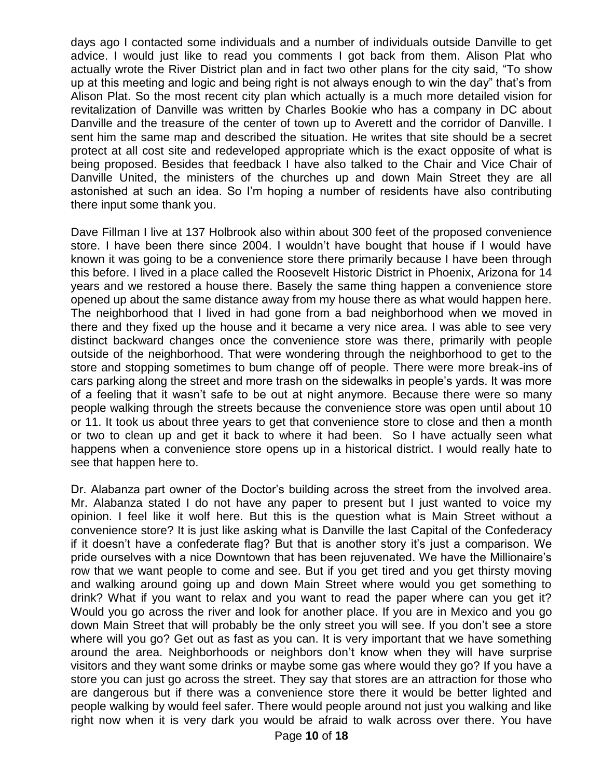days ago I contacted some individuals and a number of individuals outside Danville to get advice. I would just like to read you comments I got back from them. Alison Plat who actually wrote the River District plan and in fact two other plans for the city said, "To show up at this meeting and logic and being right is not always enough to win the day" that's from Alison Plat. So the most recent city plan which actually is a much more detailed vision for revitalization of Danville was written by Charles Bookie who has a company in DC about Danville and the treasure of the center of town up to Averett and the corridor of Danville. I sent him the same map and described the situation. He writes that site should be a secret protect at all cost site and redeveloped appropriate which is the exact opposite of what is being proposed. Besides that feedback I have also talked to the Chair and Vice Chair of Danville United, the ministers of the churches up and down Main Street they are all astonished at such an idea. So I'm hoping a number of residents have also contributing there input some thank you.

Dave Fillman I live at 137 Holbrook also within about 300 feet of the proposed convenience store. I have been there since 2004. I wouldn't have bought that house if I would have known it was going to be a convenience store there primarily because I have been through this before. I lived in a place called the Roosevelt Historic District in Phoenix, Arizona for 14 years and we restored a house there. Basely the same thing happen a convenience store opened up about the same distance away from my house there as what would happen here. The neighborhood that I lived in had gone from a bad neighborhood when we moved in there and they fixed up the house and it became a very nice area. I was able to see very distinct backward changes once the convenience store was there, primarily with people outside of the neighborhood. That were wondering through the neighborhood to get to the store and stopping sometimes to bum change off of people. There were more break-ins of cars parking along the street and more trash on the sidewalks in people's yards. It was more of a feeling that it wasn't safe to be out at night anymore. Because there were so many people walking through the streets because the convenience store was open until about 10 or 11. It took us about three years to get that convenience store to close and then a month or two to clean up and get it back to where it had been. So I have actually seen what happens when a convenience store opens up in a historical district. I would really hate to see that happen here to.

Dr. Alabanza part owner of the Doctor's building across the street from the involved area. Mr. Alabanza stated I do not have any paper to present but I just wanted to voice my opinion. I feel like it wolf here. But this is the question what is Main Street without a convenience store? It is just like asking what is Danville the last Capital of the Confederacy if it doesn't have a confederate flag? But that is another story it's just a comparison. We pride ourselves with a nice Downtown that has been rejuvenated. We have the Millionaire's row that we want people to come and see. But if you get tired and you get thirsty moving and walking around going up and down Main Street where would you get something to drink? What if you want to relax and you want to read the paper where can you get it? Would you go across the river and look for another place. If you are in Mexico and you go down Main Street that will probably be the only street you will see. If you don't see a store where will you go? Get out as fast as you can. It is very important that we have something around the area. Neighborhoods or neighbors don't know when they will have surprise visitors and they want some drinks or maybe some gas where would they go? If you have a store you can just go across the street. They say that stores are an attraction for those who are dangerous but if there was a convenience store there it would be better lighted and people walking by would feel safer. There would people around not just you walking and like right now when it is very dark you would be afraid to walk across over there. You have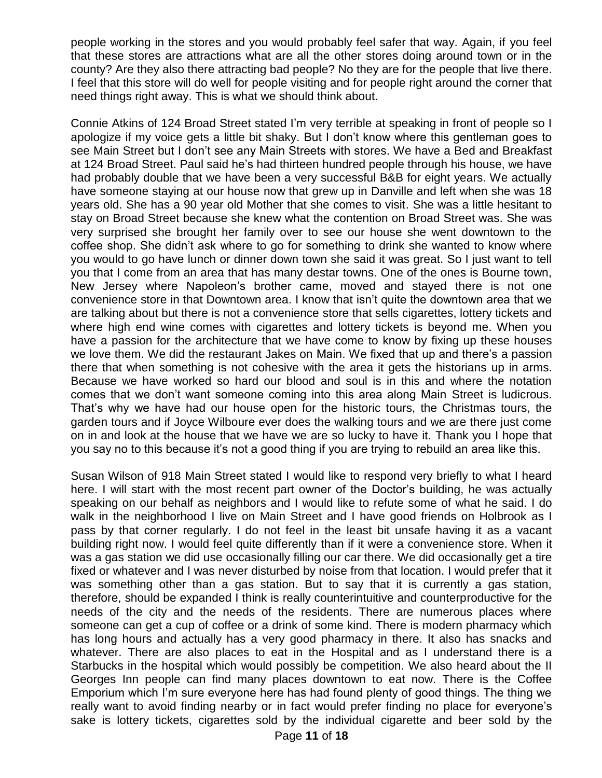people working in the stores and you would probably feel safer that way. Again, if you feel that these stores are attractions what are all the other stores doing around town or in the county? Are they also there attracting bad people? No they are for the people that live there. I feel that this store will do well for people visiting and for people right around the corner that need things right away. This is what we should think about.

Connie Atkins of 124 Broad Street stated I'm very terrible at speaking in front of people so I apologize if my voice gets a little bit shaky. But I don't know where this gentleman goes to see Main Street but I don't see any Main Streets with stores. We have a Bed and Breakfast at 124 Broad Street. Paul said he's had thirteen hundred people through his house, we have had probably double that we have been a very successful B&B for eight years. We actually have someone staying at our house now that grew up in Danville and left when she was 18 years old. She has a 90 year old Mother that she comes to visit. She was a little hesitant to stay on Broad Street because she knew what the contention on Broad Street was. She was very surprised she brought her family over to see our house she went downtown to the coffee shop. She didn't ask where to go for something to drink she wanted to know where you would to go have lunch or dinner down town she said it was great. So I just want to tell you that I come from an area that has many destar towns. One of the ones is Bourne town, New Jersey where Napoleon's brother came, moved and stayed there is not one convenience store in that Downtown area. I know that isn't quite the downtown area that we are talking about but there is not a convenience store that sells cigarettes, lottery tickets and where high end wine comes with cigarettes and lottery tickets is beyond me. When you have a passion for the architecture that we have come to know by fixing up these houses we love them. We did the restaurant Jakes on Main. We fixed that up and there's a passion there that when something is not cohesive with the area it gets the historians up in arms. Because we have worked so hard our blood and soul is in this and where the notation comes that we don't want someone coming into this area along Main Street is ludicrous. That's why we have had our house open for the historic tours, the Christmas tours, the garden tours and if Joyce Wilboure ever does the walking tours and we are there just come on in and look at the house that we have we are so lucky to have it. Thank you I hope that you say no to this because it's not a good thing if you are trying to rebuild an area like this.

Susan Wilson of 918 Main Street stated I would like to respond very briefly to what I heard here. I will start with the most recent part owner of the Doctor's building, he was actually speaking on our behalf as neighbors and I would like to refute some of what he said. I do walk in the neighborhood I live on Main Street and I have good friends on Holbrook as I pass by that corner regularly. I do not feel in the least bit unsafe having it as a vacant building right now. I would feel quite differently than if it were a convenience store. When it was a gas station we did use occasionally filling our car there. We did occasionally get a tire fixed or whatever and I was never disturbed by noise from that location. I would prefer that it was something other than a gas station. But to say that it is currently a gas station, therefore, should be expanded I think is really counterintuitive and counterproductive for the needs of the city and the needs of the residents. There are numerous places where someone can get a cup of coffee or a drink of some kind. There is modern pharmacy which has long hours and actually has a very good pharmacy in there. It also has snacks and whatever. There are also places to eat in the Hospital and as I understand there is a Starbucks in the hospital which would possibly be competition. We also heard about the II Georges Inn people can find many places downtown to eat now. There is the Coffee Emporium which I'm sure everyone here has had found plenty of good things. The thing we really want to avoid finding nearby or in fact would prefer finding no place for everyone's sake is lottery tickets, cigarettes sold by the individual cigarette and beer sold by the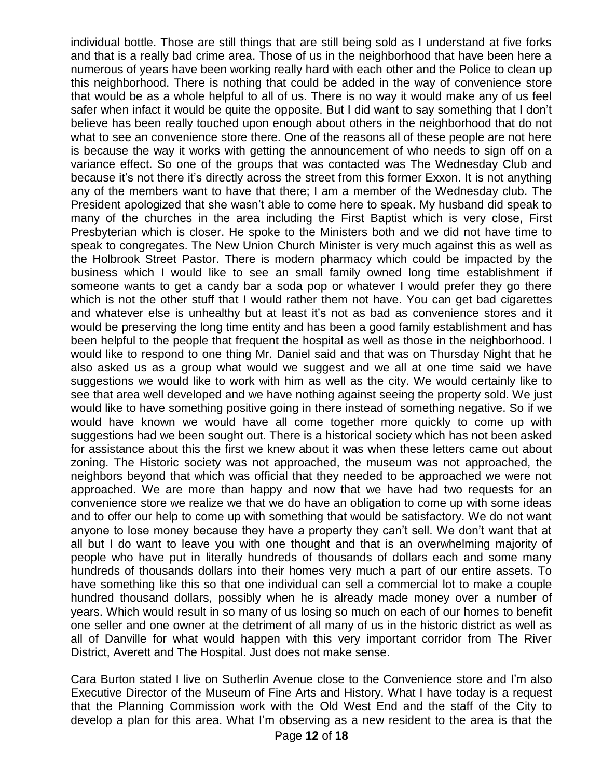individual bottle. Those are still things that are still being sold as I understand at five forks and that is a really bad crime area. Those of us in the neighborhood that have been here a numerous of years have been working really hard with each other and the Police to clean up this neighborhood. There is nothing that could be added in the way of convenience store that would be as a whole helpful to all of us. There is no way it would make any of us feel safer when infact it would be quite the opposite. But I did want to say something that I don't believe has been really touched upon enough about others in the neighborhood that do not what to see an convenience store there. One of the reasons all of these people are not here is because the way it works with getting the announcement of who needs to sign off on a variance effect. So one of the groups that was contacted was The Wednesday Club and because it's not there it's directly across the street from this former Exxon. It is not anything any of the members want to have that there; I am a member of the Wednesday club. The President apologized that she wasn't able to come here to speak. My husband did speak to many of the churches in the area including the First Baptist which is very close, First Presbyterian which is closer. He spoke to the Ministers both and we did not have time to speak to congregates. The New Union Church Minister is very much against this as well as the Holbrook Street Pastor. There is modern pharmacy which could be impacted by the business which I would like to see an small family owned long time establishment if someone wants to get a candy bar a soda pop or whatever I would prefer they go there which is not the other stuff that I would rather them not have. You can get bad cigarettes and whatever else is unhealthy but at least it's not as bad as convenience stores and it would be preserving the long time entity and has been a good family establishment and has been helpful to the people that frequent the hospital as well as those in the neighborhood. I would like to respond to one thing Mr. Daniel said and that was on Thursday Night that he also asked us as a group what would we suggest and we all at one time said we have suggestions we would like to work with him as well as the city. We would certainly like to see that area well developed and we have nothing against seeing the property sold. We just would like to have something positive going in there instead of something negative. So if we would have known we would have all come together more quickly to come up with suggestions had we been sought out. There is a historical society which has not been asked for assistance about this the first we knew about it was when these letters came out about zoning. The Historic society was not approached, the museum was not approached, the neighbors beyond that which was official that they needed to be approached we were not approached. We are more than happy and now that we have had two requests for an convenience store we realize we that we do have an obligation to come up with some ideas and to offer our help to come up with something that would be satisfactory. We do not want anyone to lose money because they have a property they can't sell. We don't want that at all but I do want to leave you with one thought and that is an overwhelming majority of people who have put in literally hundreds of thousands of dollars each and some many hundreds of thousands dollars into their homes very much a part of our entire assets. To have something like this so that one individual can sell a commercial lot to make a couple hundred thousand dollars, possibly when he is already made money over a number of years. Which would result in so many of us losing so much on each of our homes to benefit one seller and one owner at the detriment of all many of us in the historic district as well as all of Danville for what would happen with this very important corridor from The River District, Averett and The Hospital. Just does not make sense.

Cara Burton stated I live on Sutherlin Avenue close to the Convenience store and I'm also Executive Director of the Museum of Fine Arts and History. What I have today is a request that the Planning Commission work with the Old West End and the staff of the City to develop a plan for this area. What I'm observing as a new resident to the area is that the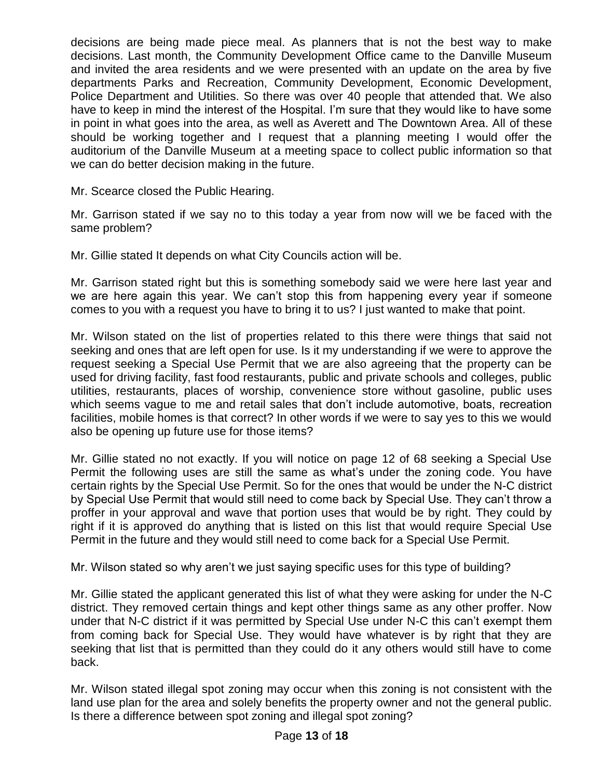decisions are being made piece meal. As planners that is not the best way to make decisions. Last month, the Community Development Office came to the Danville Museum and invited the area residents and we were presented with an update on the area by five departments Parks and Recreation, Community Development, Economic Development, Police Department and Utilities. So there was over 40 people that attended that. We also have to keep in mind the interest of the Hospital. I'm sure that they would like to have some in point in what goes into the area, as well as Averett and The Downtown Area. All of these should be working together and I request that a planning meeting I would offer the auditorium of the Danville Museum at a meeting space to collect public information so that we can do better decision making in the future.

Mr. Scearce closed the Public Hearing.

Mr. Garrison stated if we say no to this today a year from now will we be faced with the same problem?

Mr. Gillie stated It depends on what City Councils action will be.

Mr. Garrison stated right but this is something somebody said we were here last year and we are here again this year. We can't stop this from happening every year if someone comes to you with a request you have to bring it to us? I just wanted to make that point.

Mr. Wilson stated on the list of properties related to this there were things that said not seeking and ones that are left open for use. Is it my understanding if we were to approve the request seeking a Special Use Permit that we are also agreeing that the property can be used for driving facility, fast food restaurants, public and private schools and colleges, public utilities, restaurants, places of worship, convenience store without gasoline, public uses which seems vague to me and retail sales that don't include automotive, boats, recreation facilities, mobile homes is that correct? In other words if we were to say yes to this we would also be opening up future use for those items?

Mr. Gillie stated no not exactly. If you will notice on page 12 of 68 seeking a Special Use Permit the following uses are still the same as what's under the zoning code. You have certain rights by the Special Use Permit. So for the ones that would be under the N-C district by Special Use Permit that would still need to come back by Special Use. They can't throw a proffer in your approval and wave that portion uses that would be by right. They could by right if it is approved do anything that is listed on this list that would require Special Use Permit in the future and they would still need to come back for a Special Use Permit.

Mr. Wilson stated so why aren't we just saying specific uses for this type of building?

Mr. Gillie stated the applicant generated this list of what they were asking for under the N-C district. They removed certain things and kept other things same as any other proffer. Now under that N-C district if it was permitted by Special Use under N-C this can't exempt them from coming back for Special Use. They would have whatever is by right that they are seeking that list that is permitted than they could do it any others would still have to come back.

Mr. Wilson stated illegal spot zoning may occur when this zoning is not consistent with the land use plan for the area and solely benefits the property owner and not the general public. Is there a difference between spot zoning and illegal spot zoning?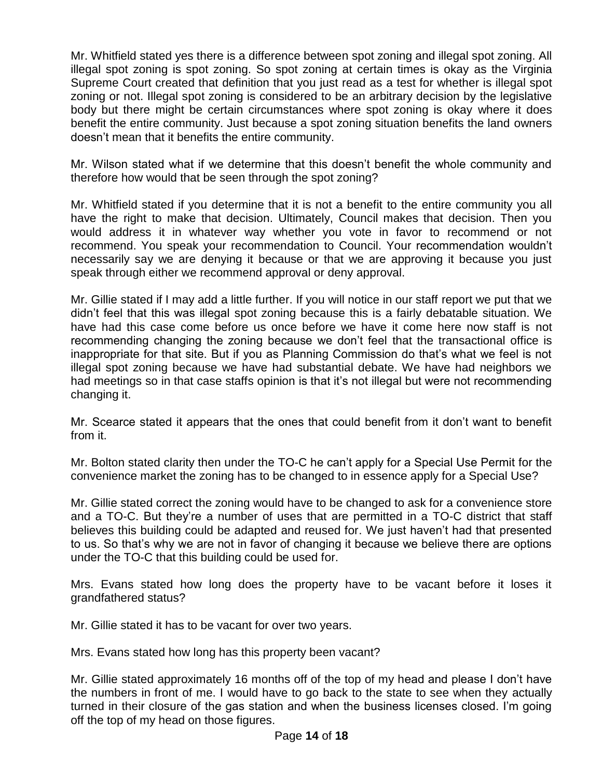Mr. Whitfield stated yes there is a difference between spot zoning and illegal spot zoning. All illegal spot zoning is spot zoning. So spot zoning at certain times is okay as the Virginia Supreme Court created that definition that you just read as a test for whether is illegal spot zoning or not. Illegal spot zoning is considered to be an arbitrary decision by the legislative body but there might be certain circumstances where spot zoning is okay where it does benefit the entire community. Just because a spot zoning situation benefits the land owners doesn't mean that it benefits the entire community.

Mr. Wilson stated what if we determine that this doesn't benefit the whole community and therefore how would that be seen through the spot zoning?

Mr. Whitfield stated if you determine that it is not a benefit to the entire community you all have the right to make that decision. Ultimately, Council makes that decision. Then you would address it in whatever way whether you vote in favor to recommend or not recommend. You speak your recommendation to Council. Your recommendation wouldn't necessarily say we are denying it because or that we are approving it because you just speak through either we recommend approval or deny approval.

Mr. Gillie stated if I may add a little further. If you will notice in our staff report we put that we didn't feel that this was illegal spot zoning because this is a fairly debatable situation. We have had this case come before us once before we have it come here now staff is not recommending changing the zoning because we don't feel that the transactional office is inappropriate for that site. But if you as Planning Commission do that's what we feel is not illegal spot zoning because we have had substantial debate. We have had neighbors we had meetings so in that case staffs opinion is that it's not illegal but were not recommending changing it.

Mr. Scearce stated it appears that the ones that could benefit from it don't want to benefit from it.

Mr. Bolton stated clarity then under the TO-C he can't apply for a Special Use Permit for the convenience market the zoning has to be changed to in essence apply for a Special Use?

Mr. Gillie stated correct the zoning would have to be changed to ask for a convenience store and a TO-C. But they're a number of uses that are permitted in a TO-C district that staff believes this building could be adapted and reused for. We just haven't had that presented to us. So that's why we are not in favor of changing it because we believe there are options under the TO-C that this building could be used for.

Mrs. Evans stated how long does the property have to be vacant before it loses it grandfathered status?

Mr. Gillie stated it has to be vacant for over two years.

Mrs. Evans stated how long has this property been vacant?

Mr. Gillie stated approximately 16 months off of the top of my head and please I don't have the numbers in front of me. I would have to go back to the state to see when they actually turned in their closure of the gas station and when the business licenses closed. I'm going off the top of my head on those figures.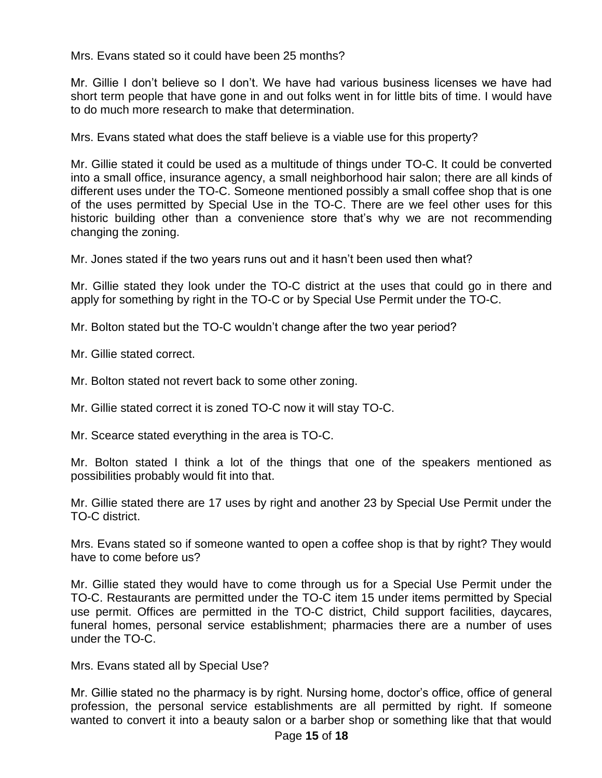Mrs. Evans stated so it could have been 25 months?

Mr. Gillie I don't believe so I don't. We have had various business licenses we have had short term people that have gone in and out folks went in for little bits of time. I would have to do much more research to make that determination.

Mrs. Evans stated what does the staff believe is a viable use for this property?

Mr. Gillie stated it could be used as a multitude of things under TO-C. It could be converted into a small office, insurance agency, a small neighborhood hair salon; there are all kinds of different uses under the TO-C. Someone mentioned possibly a small coffee shop that is one of the uses permitted by Special Use in the TO-C. There are we feel other uses for this historic building other than a convenience store that's why we are not recommending changing the zoning.

Mr. Jones stated if the two years runs out and it hasn't been used then what?

Mr. Gillie stated they look under the TO-C district at the uses that could go in there and apply for something by right in the TO-C or by Special Use Permit under the TO-C.

Mr. Bolton stated but the TO-C wouldn't change after the two year period?

Mr. Gillie stated correct.

Mr. Bolton stated not revert back to some other zoning.

Mr. Gillie stated correct it is zoned TO-C now it will stay TO-C.

Mr. Scearce stated everything in the area is TO-C.

Mr. Bolton stated I think a lot of the things that one of the speakers mentioned as possibilities probably would fit into that.

Mr. Gillie stated there are 17 uses by right and another 23 by Special Use Permit under the TO-C district.

Mrs. Evans stated so if someone wanted to open a coffee shop is that by right? They would have to come before us?

Mr. Gillie stated they would have to come through us for a Special Use Permit under the TO-C. Restaurants are permitted under the TO-C item 15 under items permitted by Special use permit. Offices are permitted in the TO-C district, Child support facilities, daycares, funeral homes, personal service establishment; pharmacies there are a number of uses under the TO-C.

Mrs. Evans stated all by Special Use?

Mr. Gillie stated no the pharmacy is by right. Nursing home, doctor's office, office of general profession, the personal service establishments are all permitted by right. If someone wanted to convert it into a beauty salon or a barber shop or something like that that would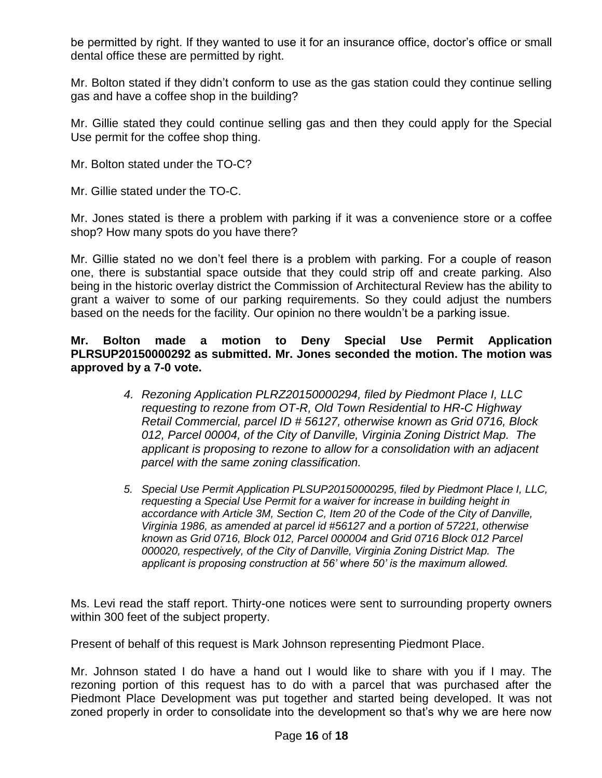be permitted by right. If they wanted to use it for an insurance office, doctor's office or small dental office these are permitted by right.

Mr. Bolton stated if they didn't conform to use as the gas station could they continue selling gas and have a coffee shop in the building?

Mr. Gillie stated they could continue selling gas and then they could apply for the Special Use permit for the coffee shop thing.

Mr. Bolton stated under the TO-C?

Mr. Gillie stated under the TO-C.

Mr. Jones stated is there a problem with parking if it was a convenience store or a coffee shop? How many spots do you have there?

Mr. Gillie stated no we don't feel there is a problem with parking. For a couple of reason one, there is substantial space outside that they could strip off and create parking. Also being in the historic overlay district the Commission of Architectural Review has the ability to grant a waiver to some of our parking requirements. So they could adjust the numbers based on the needs for the facility. Our opinion no there wouldn't be a parking issue.

**Mr. Bolton made a motion to Deny Special Use Permit Application PLRSUP20150000292 as submitted. Mr. Jones seconded the motion. The motion was approved by a 7-0 vote.**

- *4. Rezoning Application PLRZ20150000294, filed by Piedmont Place I, LLC requesting to rezone from OT-R, Old Town Residential to HR-C Highway Retail Commercial, parcel ID # 56127, otherwise known as Grid 0716, Block 012, Parcel 00004, of the City of Danville, Virginia Zoning District Map. The applicant is proposing to rezone to allow for a consolidation with an adjacent parcel with the same zoning classification.*
- *5. Special Use Permit Application PLSUP20150000295, filed by Piedmont Place I, LLC, requesting a Special Use Permit for a waiver for increase in building height in accordance with Article 3M, Section C, Item 20 of the Code of the City of Danville, Virginia 1986, as amended at parcel id #56127 and a portion of 57221, otherwise known as Grid 0716, Block 012, Parcel 000004 and Grid 0716 Block 012 Parcel 000020, respectively, of the City of Danville, Virginia Zoning District Map. The applicant is proposing construction at 56' where 50' is the maximum allowed.*

Ms. Levi read the staff report. Thirty-one notices were sent to surrounding property owners within 300 feet of the subject property.

Present of behalf of this request is Mark Johnson representing Piedmont Place.

Mr. Johnson stated I do have a hand out I would like to share with you if I may. The rezoning portion of this request has to do with a parcel that was purchased after the Piedmont Place Development was put together and started being developed. It was not zoned properly in order to consolidate into the development so that's why we are here now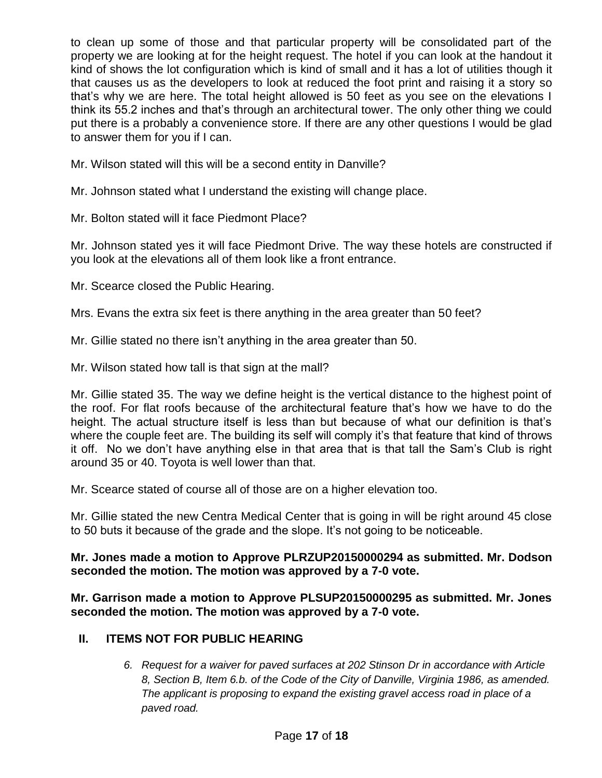to clean up some of those and that particular property will be consolidated part of the property we are looking at for the height request. The hotel if you can look at the handout it kind of shows the lot configuration which is kind of small and it has a lot of utilities though it that causes us as the developers to look at reduced the foot print and raising it a story so that's why we are here. The total height allowed is 50 feet as you see on the elevations I think its 55.2 inches and that's through an architectural tower. The only other thing we could put there is a probably a convenience store. If there are any other questions I would be glad to answer them for you if I can.

Mr. Wilson stated will this will be a second entity in Danville?

Mr. Johnson stated what I understand the existing will change place.

Mr. Bolton stated will it face Piedmont Place?

Mr. Johnson stated yes it will face Piedmont Drive. The way these hotels are constructed if you look at the elevations all of them look like a front entrance.

Mr. Scearce closed the Public Hearing.

Mrs. Evans the extra six feet is there anything in the area greater than 50 feet?

Mr. Gillie stated no there isn't anything in the area greater than 50.

Mr. Wilson stated how tall is that sign at the mall?

Mr. Gillie stated 35. The way we define height is the vertical distance to the highest point of the roof. For flat roofs because of the architectural feature that's how we have to do the height. The actual structure itself is less than but because of what our definition is that's where the couple feet are. The building its self will comply it's that feature that kind of throws it off. No we don't have anything else in that area that is that tall the Sam's Club is right around 35 or 40. Toyota is well lower than that.

Mr. Scearce stated of course all of those are on a higher elevation too.

Mr. Gillie stated the new Centra Medical Center that is going in will be right around 45 close to 50 buts it because of the grade and the slope. It's not going to be noticeable.

## **Mr. Jones made a motion to Approve PLRZUP20150000294 as submitted. Mr. Dodson seconded the motion. The motion was approved by a 7-0 vote.**

**Mr. Garrison made a motion to Approve PLSUP20150000295 as submitted. Mr. Jones seconded the motion. The motion was approved by a 7-0 vote.**

# **II. ITEMS NOT FOR PUBLIC HEARING**

*6. Request for a waiver for paved surfaces at 202 Stinson Dr in accordance with Article 8, Section B, Item 6.b. of the Code of the City of Danville, Virginia 1986, as amended. The applicant is proposing to expand the existing gravel access road in place of a paved road.*